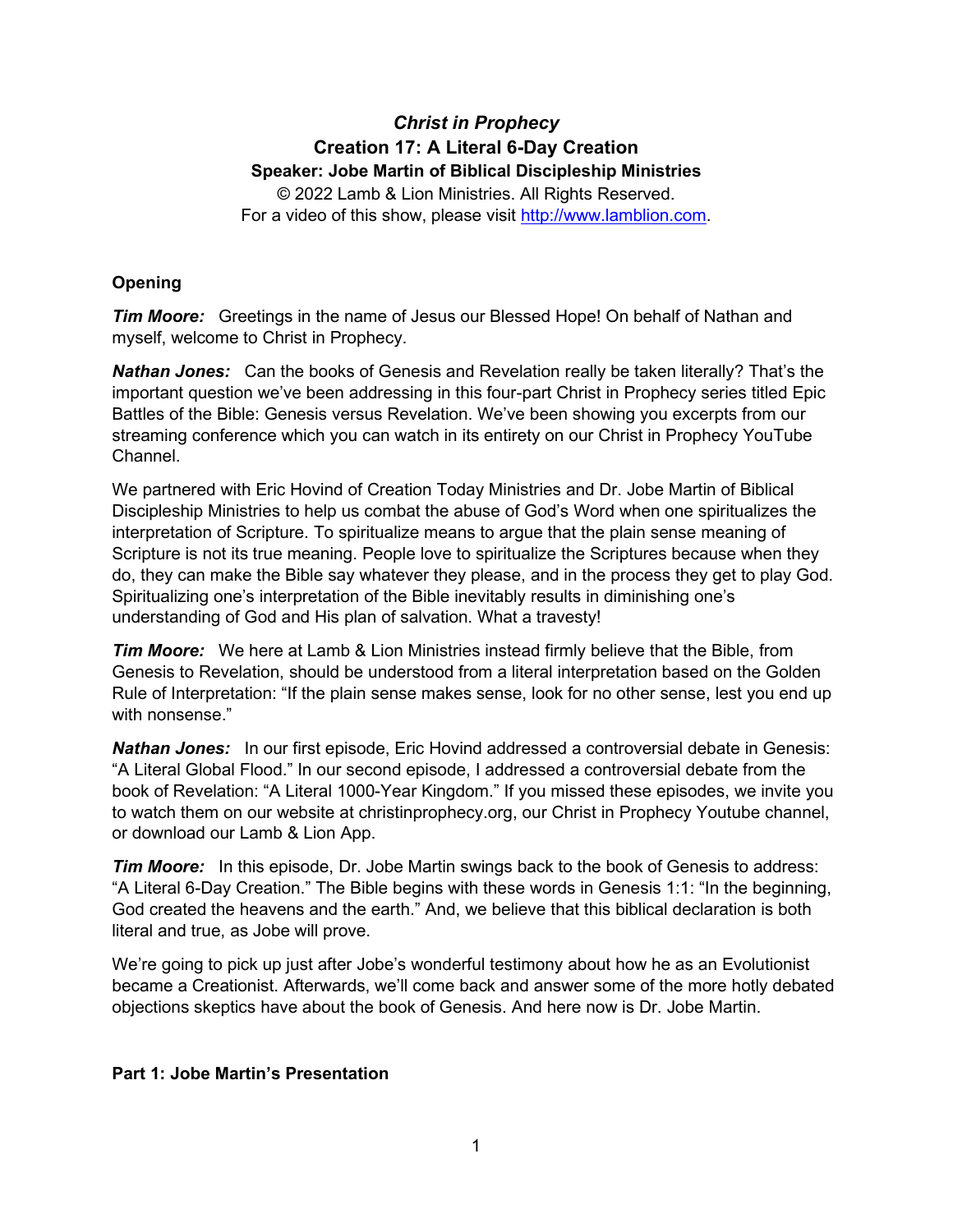# *Christ in Prophecy* **Creation 17: A Literal 6-Day Creation Speaker: Jobe Martin of Biblical Discipleship Ministries** © 2022 Lamb & Lion Ministries. All Rights Reserved.

For a video of this show, please visit [http://www.lamblion.com.](http://www.lamblion.com/)

## **Opening**

*Tim Moore:* Greetings in the name of Jesus our Blessed Hope! On behalf of Nathan and myself, welcome to Christ in Prophecy.

*Nathan Jones:* Can the books of Genesis and Revelation really be taken literally? That's the important question we've been addressing in this four-part Christ in Prophecy series titled Epic Battles of the Bible: Genesis versus Revelation. We've been showing you excerpts from our streaming conference which you can watch in its entirety on our Christ in Prophecy YouTube Channel.

We partnered with Eric Hovind of Creation Today Ministries and Dr. Jobe Martin of Biblical Discipleship Ministries to help us combat the abuse of God's Word when one spiritualizes the interpretation of Scripture. To spiritualize means to argue that the plain sense meaning of Scripture is not its true meaning. People love to spiritualize the Scriptures because when they do, they can make the Bible say whatever they please, and in the process they get to play God. Spiritualizing one's interpretation of the Bible inevitably results in diminishing one's understanding of God and His plan of salvation. What a travesty!

*Tim Moore:* We here at Lamb & Lion Ministries instead firmly believe that the Bible, from Genesis to Revelation, should be understood from a literal interpretation based on the Golden Rule of Interpretation: "If the plain sense makes sense, look for no other sense, lest you end up with nonsense."

*Nathan Jones:* In our first episode, Eric Hovind addressed a controversial debate in Genesis: "A Literal Global Flood." In our second episode, I addressed a controversial debate from the book of Revelation: "A Literal 1000-Year Kingdom." If you missed these episodes, we invite you to watch them on our website at christinprophecy.org, our Christ in Prophecy Youtube channel, or download our Lamb & Lion App.

*Tim Moore:* In this episode, Dr. Jobe Martin swings back to the book of Genesis to address: "A Literal 6-Day Creation." The Bible begins with these words in Genesis 1:1: "In the beginning, God created the heavens and the earth." And, we believe that this biblical declaration is both literal and true, as Jobe will prove.

We're going to pick up just after Jobe's wonderful testimony about how he as an Evolutionist became a Creationist. Afterwards, we'll come back and answer some of the more hotly debated objections skeptics have about the book of Genesis. And here now is Dr. Jobe Martin.

## **Part 1: Jobe Martin's Presentation**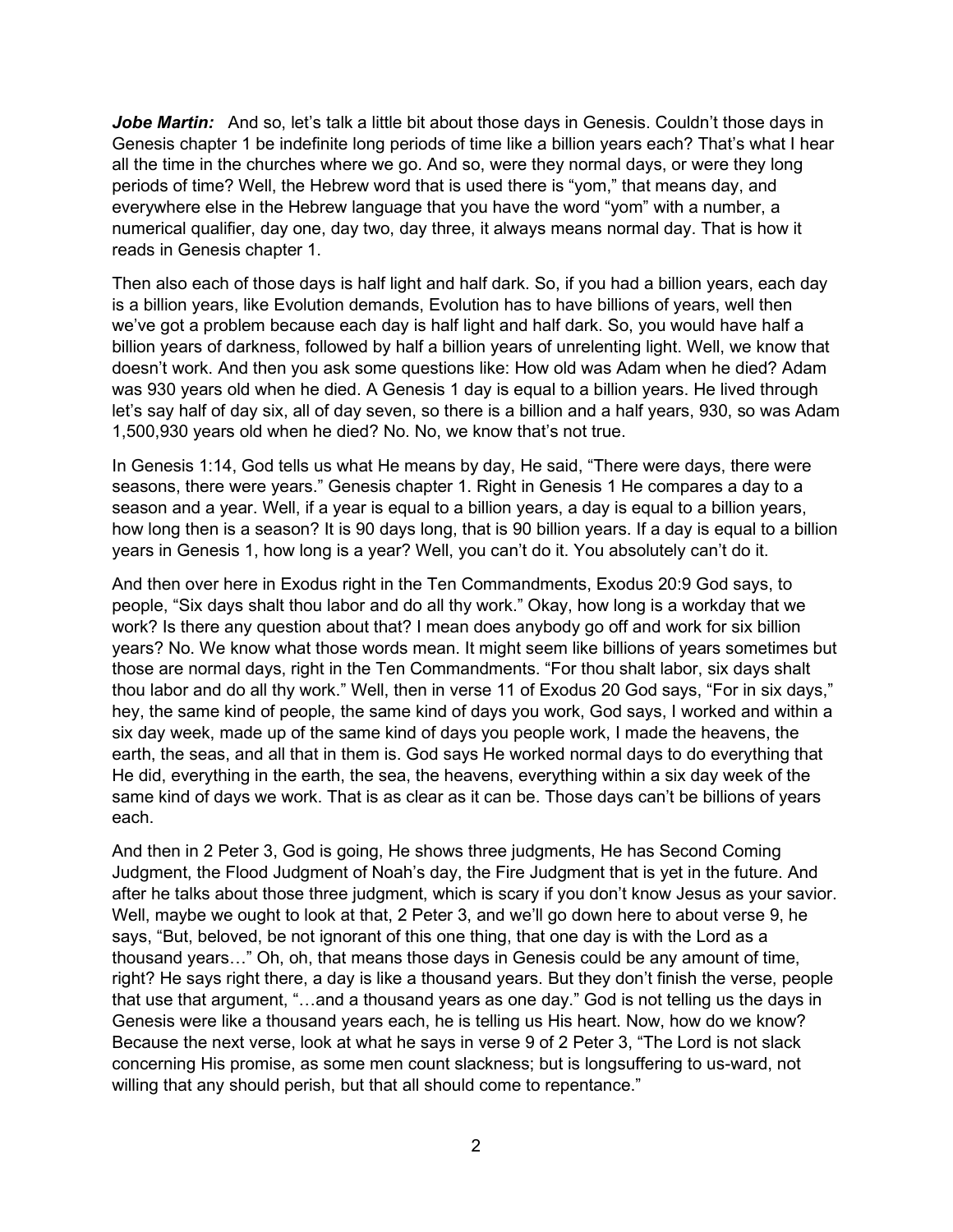Jobe Martin: And so, let's talk a little bit about those days in Genesis. Couldn't those days in Genesis chapter 1 be indefinite long periods of time like a billion years each? That's what I hear all the time in the churches where we go. And so, were they normal days, or were they long periods of time? Well, the Hebrew word that is used there is "yom," that means day, and everywhere else in the Hebrew language that you have the word "yom" with a number, a numerical qualifier, day one, day two, day three, it always means normal day. That is how it reads in Genesis chapter 1.

Then also each of those days is half light and half dark. So, if you had a billion years, each day is a billion years, like Evolution demands, Evolution has to have billions of years, well then we've got a problem because each day is half light and half dark. So, you would have half a billion years of darkness, followed by half a billion years of unrelenting light. Well, we know that doesn't work. And then you ask some questions like: How old was Adam when he died? Adam was 930 years old when he died. A Genesis 1 day is equal to a billion years. He lived through let's say half of day six, all of day seven, so there is a billion and a half years, 930, so was Adam 1,500,930 years old when he died? No. No, we know that's not true.

In Genesis 1:14, God tells us what He means by day, He said, "There were days, there were seasons, there were years." Genesis chapter 1. Right in Genesis 1 He compares a day to a season and a year. Well, if a year is equal to a billion years, a day is equal to a billion years, how long then is a season? It is 90 days long, that is 90 billion years. If a day is equal to a billion years in Genesis 1, how long is a year? Well, you can't do it. You absolutely can't do it.

And then over here in Exodus right in the Ten Commandments, Exodus 20:9 God says, to people, "Six days shalt thou labor and do all thy work." Okay, how long is a workday that we work? Is there any question about that? I mean does anybody go off and work for six billion years? No. We know what those words mean. It might seem like billions of years sometimes but those are normal days, right in the Ten Commandments. "For thou shalt labor, six days shalt thou labor and do all thy work." Well, then in verse 11 of Exodus 20 God says, "For in six days," hey, the same kind of people, the same kind of days you work, God says, I worked and within a six day week, made up of the same kind of days you people work, I made the heavens, the earth, the seas, and all that in them is. God says He worked normal days to do everything that He did, everything in the earth, the sea, the heavens, everything within a six day week of the same kind of days we work. That is as clear as it can be. Those days can't be billions of years each.

And then in 2 Peter 3, God is going, He shows three judgments, He has Second Coming Judgment, the Flood Judgment of Noah's day, the Fire Judgment that is yet in the future. And after he talks about those three judgment, which is scary if you don't know Jesus as your savior. Well, maybe we ought to look at that, 2 Peter 3, and we'll go down here to about verse 9, he says, "But, beloved, be not ignorant of this one thing, that one day is with the Lord as a thousand years…" Oh, oh, that means those days in Genesis could be any amount of time, right? He says right there, a day is like a thousand years. But they don't finish the verse, people that use that argument, "…and a thousand years as one day." God is not telling us the days in Genesis were like a thousand years each, he is telling us His heart. Now, how do we know? Because the next verse, look at what he says in verse 9 of 2 Peter 3, "The Lord is not slack concerning His promise, as some men count slackness; but is longsuffering to us-ward, not willing that any should perish, but that all should come to repentance."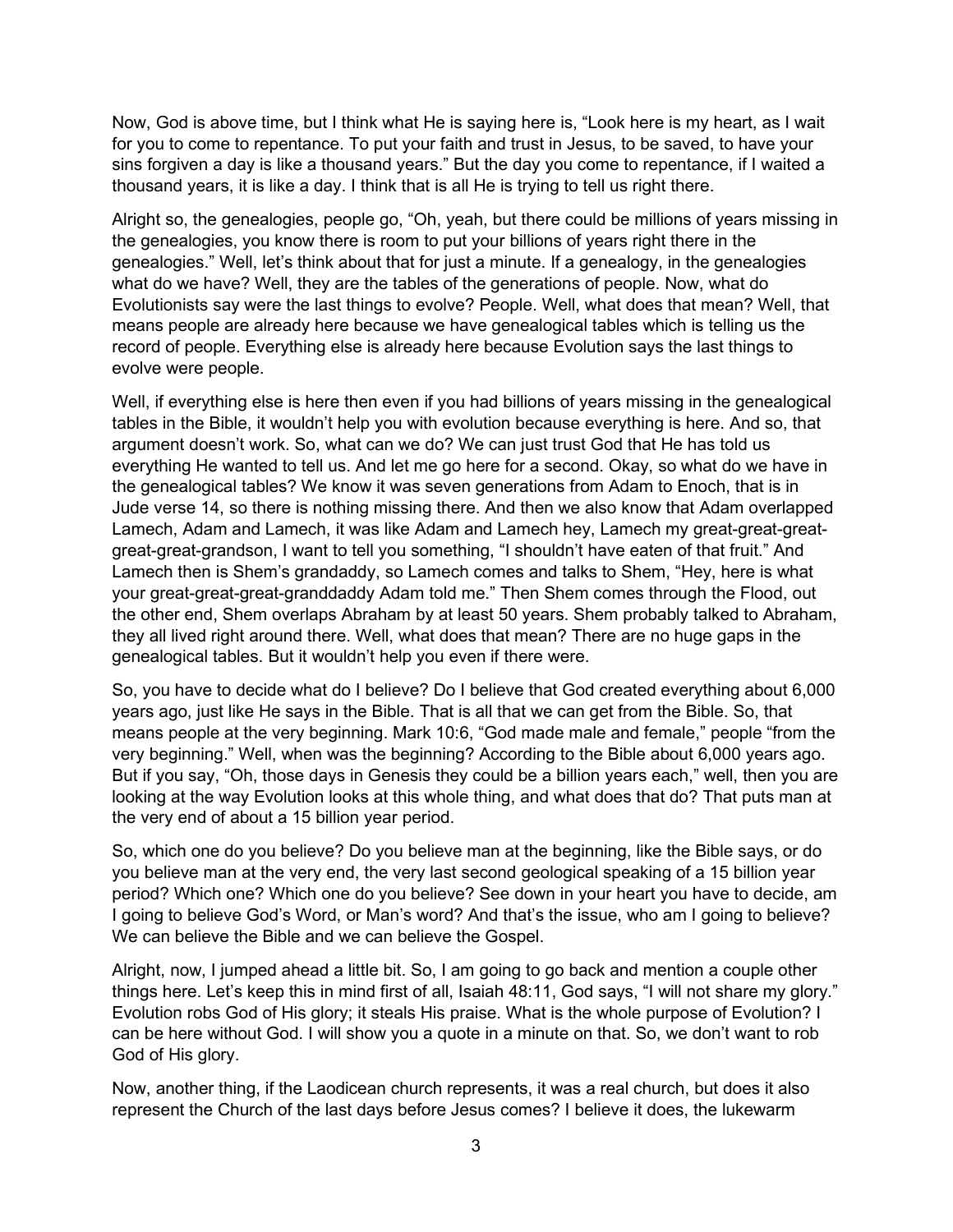Now, God is above time, but I think what He is saying here is, "Look here is my heart, as I wait for you to come to repentance. To put your faith and trust in Jesus, to be saved, to have your sins forgiven a day is like a thousand years." But the day you come to repentance, if I waited a thousand years, it is like a day. I think that is all He is trying to tell us right there.

Alright so, the genealogies, people go, "Oh, yeah, but there could be millions of years missing in the genealogies, you know there is room to put your billions of years right there in the genealogies." Well, let's think about that for just a minute. If a genealogy, in the genealogies what do we have? Well, they are the tables of the generations of people. Now, what do Evolutionists say were the last things to evolve? People. Well, what does that mean? Well, that means people are already here because we have genealogical tables which is telling us the record of people. Everything else is already here because Evolution says the last things to evolve were people.

Well, if everything else is here then even if you had billions of years missing in the genealogical tables in the Bible, it wouldn't help you with evolution because everything is here. And so, that argument doesn't work. So, what can we do? We can just trust God that He has told us everything He wanted to tell us. And let me go here for a second. Okay, so what do we have in the genealogical tables? We know it was seven generations from Adam to Enoch, that is in Jude verse 14, so there is nothing missing there. And then we also know that Adam overlapped Lamech, Adam and Lamech, it was like Adam and Lamech hey, Lamech my great-great-greatgreat-great-grandson, I want to tell you something, "I shouldn't have eaten of that fruit." And Lamech then is Shem's grandaddy, so Lamech comes and talks to Shem, "Hey, here is what your great-great-great-granddaddy Adam told me." Then Shem comes through the Flood, out the other end, Shem overlaps Abraham by at least 50 years. Shem probably talked to Abraham, they all lived right around there. Well, what does that mean? There are no huge gaps in the genealogical tables. But it wouldn't help you even if there were.

So, you have to decide what do I believe? Do I believe that God created everything about 6,000 years ago, just like He says in the Bible. That is all that we can get from the Bible. So, that means people at the very beginning. Mark 10:6, "God made male and female," people "from the very beginning." Well, when was the beginning? According to the Bible about 6,000 years ago. But if you say, "Oh, those days in Genesis they could be a billion years each," well, then you are looking at the way Evolution looks at this whole thing, and what does that do? That puts man at the very end of about a 15 billion year period.

So, which one do you believe? Do you believe man at the beginning, like the Bible says, or do you believe man at the very end, the very last second geological speaking of a 15 billion year period? Which one? Which one do you believe? See down in your heart you have to decide, am I going to believe God's Word, or Man's word? And that's the issue, who am I going to believe? We can believe the Bible and we can believe the Gospel.

Alright, now, I jumped ahead a little bit. So, I am going to go back and mention a couple other things here. Let's keep this in mind first of all, Isaiah 48:11, God says, "I will not share my glory." Evolution robs God of His glory; it steals His praise. What is the whole purpose of Evolution? I can be here without God. I will show you a quote in a minute on that. So, we don't want to rob God of His glory.

Now, another thing, if the Laodicean church represents, it was a real church, but does it also represent the Church of the last days before Jesus comes? I believe it does, the lukewarm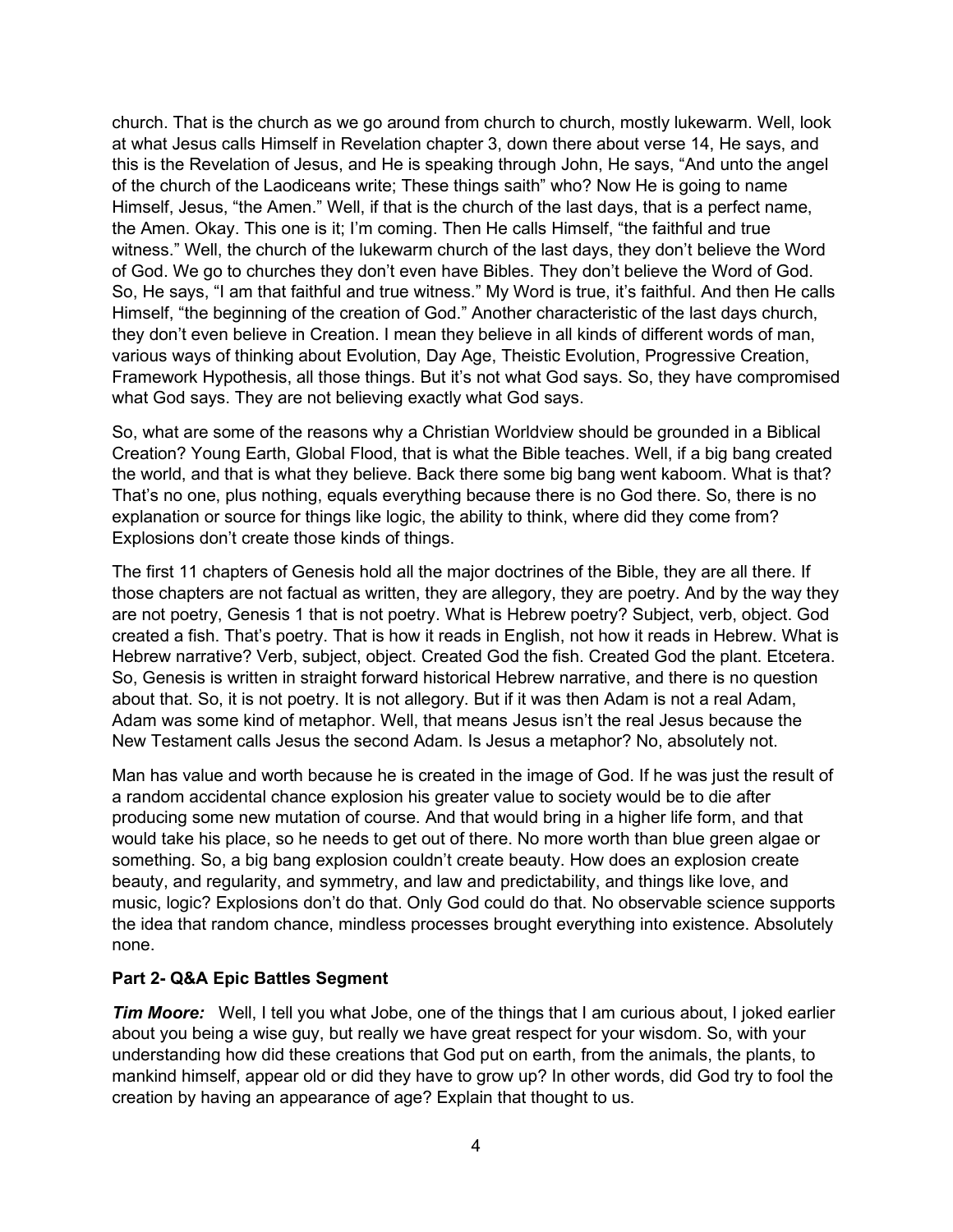church. That is the church as we go around from church to church, mostly lukewarm. Well, look at what Jesus calls Himself in Revelation chapter 3, down there about verse 14, He says, and this is the Revelation of Jesus, and He is speaking through John, He says, "And unto the angel of the church of the Laodiceans write; These things saith" who? Now He is going to name Himself, Jesus, "the Amen." Well, if that is the church of the last days, that is a perfect name, the Amen. Okay. This one is it; I'm coming. Then He calls Himself, "the faithful and true witness." Well, the church of the lukewarm church of the last days, they don't believe the Word of God. We go to churches they don't even have Bibles. They don't believe the Word of God. So, He says, "I am that faithful and true witness." My Word is true, it's faithful. And then He calls Himself, "the beginning of the creation of God." Another characteristic of the last days church, they don't even believe in Creation. I mean they believe in all kinds of different words of man, various ways of thinking about Evolution, Day Age, Theistic Evolution, Progressive Creation, Framework Hypothesis, all those things. But it's not what God says. So, they have compromised what God says. They are not believing exactly what God says.

So, what are some of the reasons why a Christian Worldview should be grounded in a Biblical Creation? Young Earth, Global Flood, that is what the Bible teaches. Well, if a big bang created the world, and that is what they believe. Back there some big bang went kaboom. What is that? That's no one, plus nothing, equals everything because there is no God there. So, there is no explanation or source for things like logic, the ability to think, where did they come from? Explosions don't create those kinds of things.

The first 11 chapters of Genesis hold all the major doctrines of the Bible, they are all there. If those chapters are not factual as written, they are allegory, they are poetry. And by the way they are not poetry, Genesis 1 that is not poetry. What is Hebrew poetry? Subject, verb, object. God created a fish. That's poetry. That is how it reads in English, not how it reads in Hebrew. What is Hebrew narrative? Verb, subject, object. Created God the fish. Created God the plant. Etcetera. So, Genesis is written in straight forward historical Hebrew narrative, and there is no question about that. So, it is not poetry. It is not allegory. But if it was then Adam is not a real Adam, Adam was some kind of metaphor. Well, that means Jesus isn't the real Jesus because the New Testament calls Jesus the second Adam. Is Jesus a metaphor? No, absolutely not.

Man has value and worth because he is created in the image of God. If he was just the result of a random accidental chance explosion his greater value to society would be to die after producing some new mutation of course. And that would bring in a higher life form, and that would take his place, so he needs to get out of there. No more worth than blue green algae or something. So, a big bang explosion couldn't create beauty. How does an explosion create beauty, and regularity, and symmetry, and law and predictability, and things like love, and music, logic? Explosions don't do that. Only God could do that. No observable science supports the idea that random chance, mindless processes brought everything into existence. Absolutely none.

## **Part 2- Q&A Epic Battles Segment**

*Tim Moore:* Well, I tell you what Jobe, one of the things that I am curious about, I joked earlier about you being a wise guy, but really we have great respect for your wisdom. So, with your understanding how did these creations that God put on earth, from the animals, the plants, to mankind himself, appear old or did they have to grow up? In other words, did God try to fool the creation by having an appearance of age? Explain that thought to us.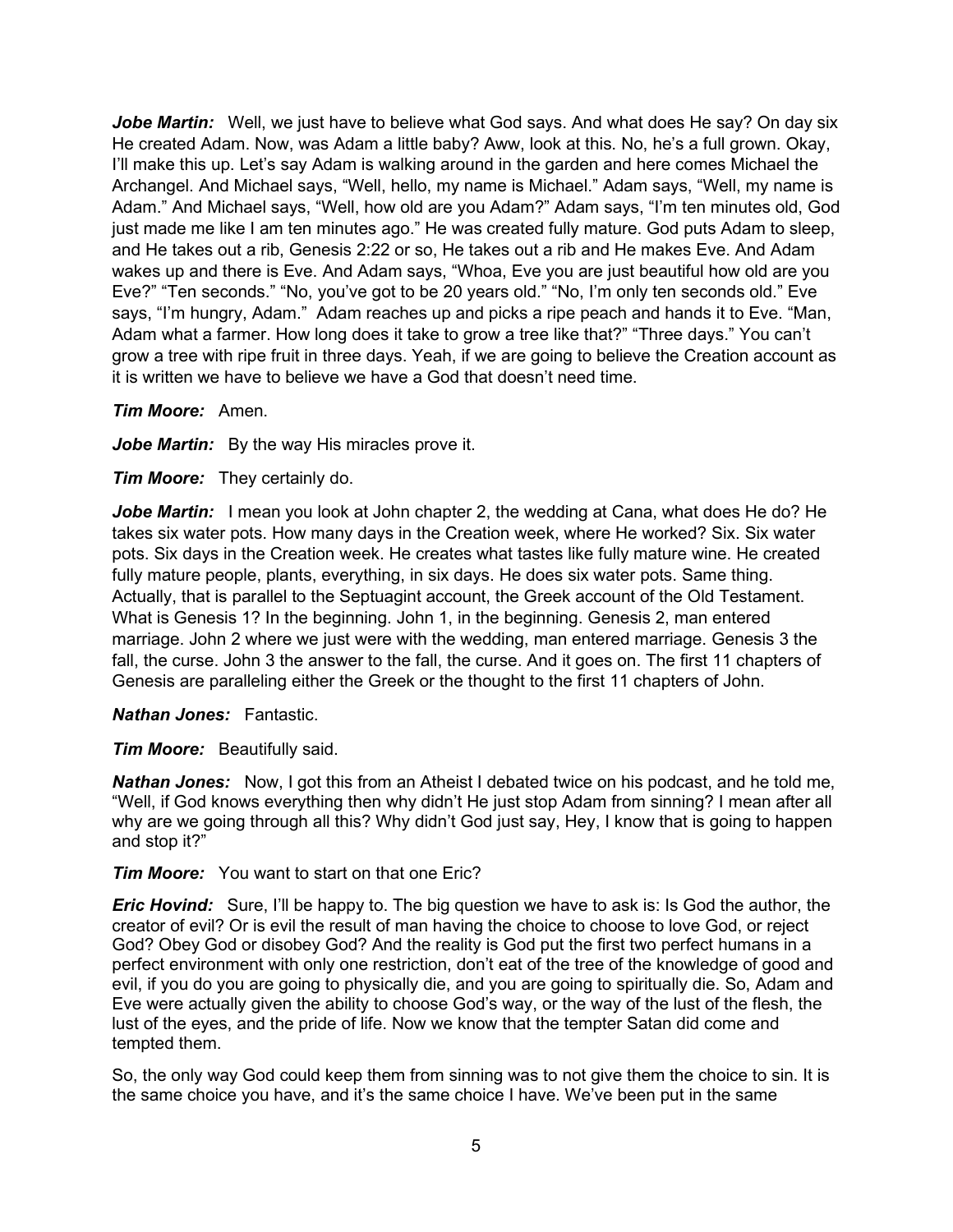**Jobe Martin:** Well, we just have to believe what God says. And what does He say? On day six He created Adam. Now, was Adam a little baby? Aww, look at this. No, he's a full grown. Okay, I'll make this up. Let's say Adam is walking around in the garden and here comes Michael the Archangel. And Michael says, "Well, hello, my name is Michael." Adam says, "Well, my name is Adam." And Michael says, "Well, how old are you Adam?" Adam says, "I'm ten minutes old, God just made me like I am ten minutes ago." He was created fully mature. God puts Adam to sleep, and He takes out a rib, Genesis 2:22 or so, He takes out a rib and He makes Eve. And Adam wakes up and there is Eve. And Adam says, "Whoa, Eve you are just beautiful how old are you Eve?" "Ten seconds." "No, you've got to be 20 years old." "No, I'm only ten seconds old." Eve says, "I'm hungry, Adam." Adam reaches up and picks a ripe peach and hands it to Eve. "Man, Adam what a farmer. How long does it take to grow a tree like that?" "Three days." You can't grow a tree with ripe fruit in three days. Yeah, if we are going to believe the Creation account as it is written we have to believe we have a God that doesn't need time.

*Tim Moore:* Amen.

Jobe Martin: By the way His miracles prove it.

*Tim Moore:* They certainly do.

**Jobe Martin:** I mean you look at John chapter 2, the wedding at Cana, what does He do? He takes six water pots. How many days in the Creation week, where He worked? Six. Six water pots. Six days in the Creation week. He creates what tastes like fully mature wine. He created fully mature people, plants, everything, in six days. He does six water pots. Same thing. Actually, that is parallel to the Septuagint account, the Greek account of the Old Testament. What is Genesis 1? In the beginning. John 1, in the beginning. Genesis 2, man entered marriage. John 2 where we just were with the wedding, man entered marriage. Genesis 3 the fall, the curse. John 3 the answer to the fall, the curse. And it goes on. The first 11 chapters of Genesis are paralleling either the Greek or the thought to the first 11 chapters of John.

*Nathan Jones:* Fantastic.

*Tim Moore:* Beautifully said.

*Nathan Jones:* Now, I got this from an Atheist I debated twice on his podcast, and he told me, "Well, if God knows everything then why didn't He just stop Adam from sinning? I mean after all why are we going through all this? Why didn't God just say, Hey, I know that is going to happen and stop it?"

*Tim Moore:* You want to start on that one Eric?

*Eric Hovind:* Sure, I'll be happy to. The big question we have to ask is: Is God the author, the creator of evil? Or is evil the result of man having the choice to choose to love God, or reject God? Obey God or disobey God? And the reality is God put the first two perfect humans in a perfect environment with only one restriction, don't eat of the tree of the knowledge of good and evil, if you do you are going to physically die, and you are going to spiritually die. So, Adam and Eve were actually given the ability to choose God's way, or the way of the lust of the flesh, the lust of the eyes, and the pride of life. Now we know that the tempter Satan did come and tempted them.

So, the only way God could keep them from sinning was to not give them the choice to sin. It is the same choice you have, and it's the same choice I have. We've been put in the same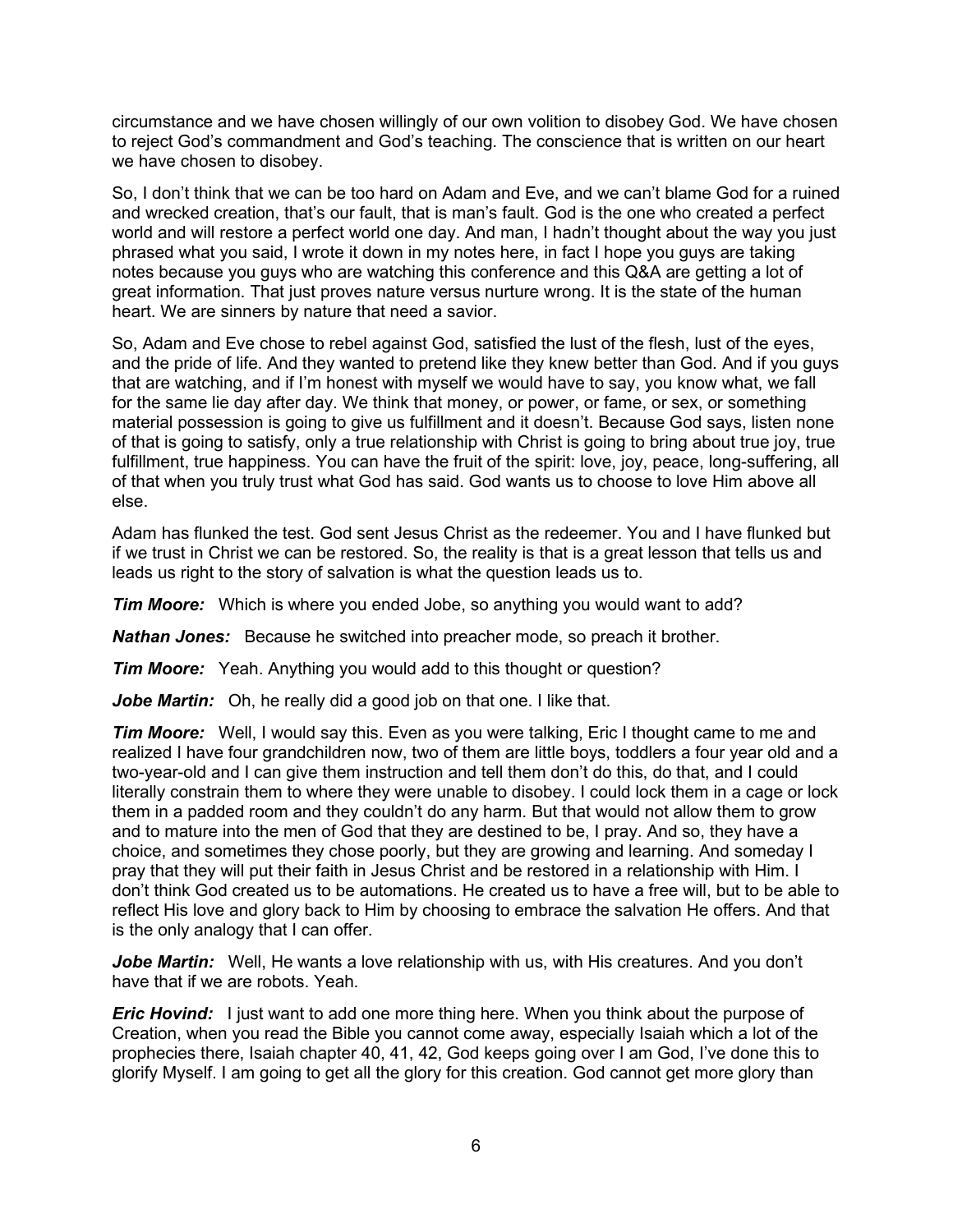circumstance and we have chosen willingly of our own volition to disobey God. We have chosen to reject God's commandment and God's teaching. The conscience that is written on our heart we have chosen to disobey.

So, I don't think that we can be too hard on Adam and Eve, and we can't blame God for a ruined and wrecked creation, that's our fault, that is man's fault. God is the one who created a perfect world and will restore a perfect world one day. And man, I hadn't thought about the way you just phrased what you said, I wrote it down in my notes here, in fact I hope you guys are taking notes because you guys who are watching this conference and this Q&A are getting a lot of great information. That just proves nature versus nurture wrong. It is the state of the human heart. We are sinners by nature that need a savior.

So, Adam and Eve chose to rebel against God, satisfied the lust of the flesh, lust of the eyes, and the pride of life. And they wanted to pretend like they knew better than God. And if you guys that are watching, and if I'm honest with myself we would have to say, you know what, we fall for the same lie day after day. We think that money, or power, or fame, or sex, or something material possession is going to give us fulfillment and it doesn't. Because God says, listen none of that is going to satisfy, only a true relationship with Christ is going to bring about true joy, true fulfillment, true happiness. You can have the fruit of the spirit: love, joy, peace, long-suffering, all of that when you truly trust what God has said. God wants us to choose to love Him above all else.

Adam has flunked the test. God sent Jesus Christ as the redeemer. You and I have flunked but if we trust in Christ we can be restored. So, the reality is that is a great lesson that tells us and leads us right to the story of salvation is what the question leads us to.

*Tim Moore:* Which is where you ended Jobe, so anything you would want to add?

*Nathan Jones:* Because he switched into preacher mode, so preach it brother.

**Tim Moore:** Yeah. Anything you would add to this thought or question?

Jobe Martin: Oh, he really did a good job on that one. I like that.

*Tim Moore:* Well, I would say this. Even as you were talking, Eric I thought came to me and realized I have four grandchildren now, two of them are little boys, toddlers a four year old and a two-year-old and I can give them instruction and tell them don't do this, do that, and I could literally constrain them to where they were unable to disobey. I could lock them in a cage or lock them in a padded room and they couldn't do any harm. But that would not allow them to grow and to mature into the men of God that they are destined to be, I pray. And so, they have a choice, and sometimes they chose poorly, but they are growing and learning. And someday I pray that they will put their faith in Jesus Christ and be restored in a relationship with Him. I don't think God created us to be automations. He created us to have a free will, but to be able to reflect His love and glory back to Him by choosing to embrace the salvation He offers. And that is the only analogy that I can offer.

**Jobe Martin:** Well, He wants a love relationship with us, with His creatures. And you don't have that if we are robots. Yeah.

*Eric Hovind:* I just want to add one more thing here. When you think about the purpose of Creation, when you read the Bible you cannot come away, especially Isaiah which a lot of the prophecies there, Isaiah chapter 40, 41, 42, God keeps going over I am God, I've done this to glorify Myself. I am going to get all the glory for this creation. God cannot get more glory than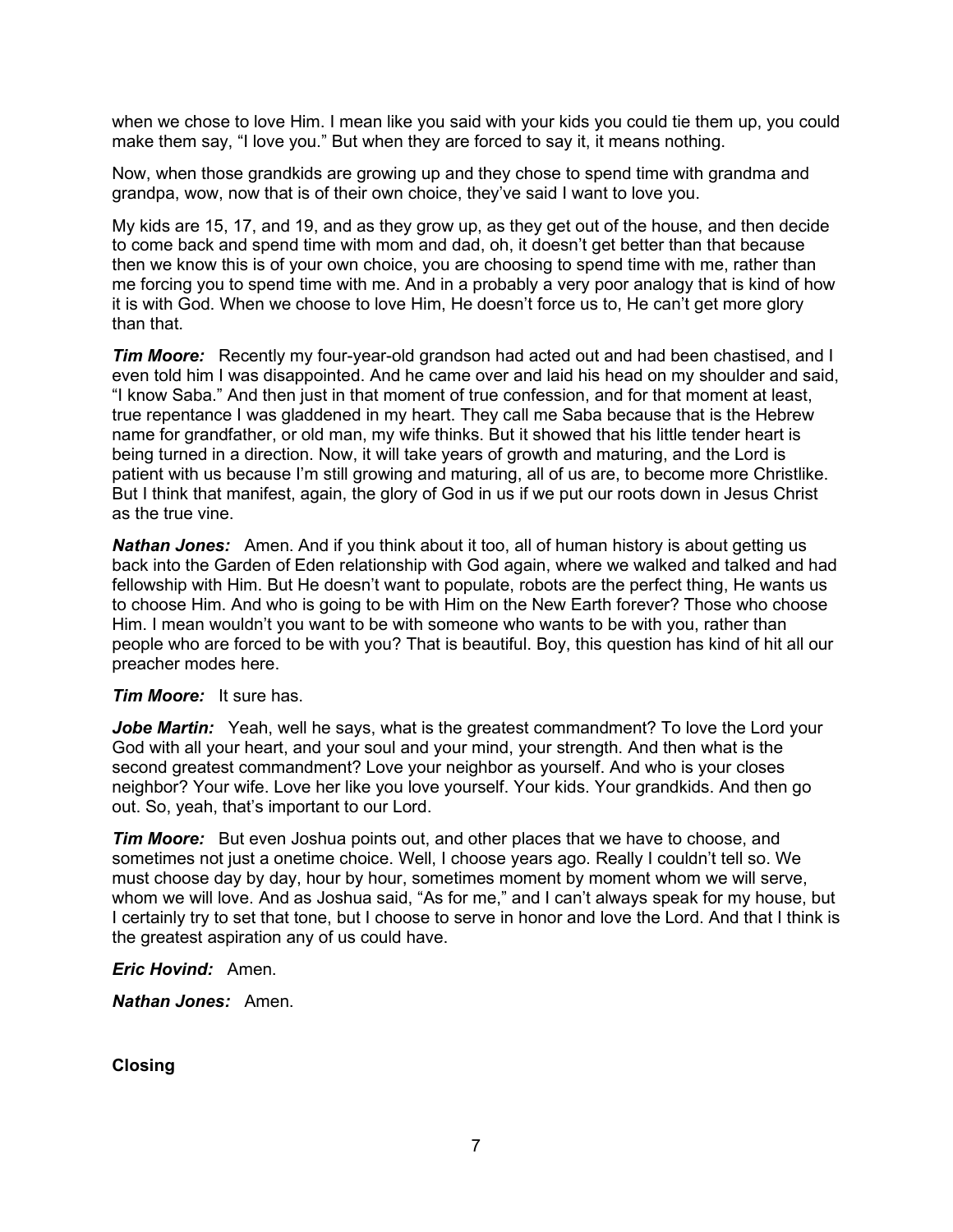when we chose to love Him. I mean like you said with your kids you could tie them up, you could make them say, "I love you." But when they are forced to say it, it means nothing.

Now, when those grandkids are growing up and they chose to spend time with grandma and grandpa, wow, now that is of their own choice, they've said I want to love you.

My kids are 15, 17, and 19, and as they grow up, as they get out of the house, and then decide to come back and spend time with mom and dad, oh, it doesn't get better than that because then we know this is of your own choice, you are choosing to spend time with me, rather than me forcing you to spend time with me. And in a probably a very poor analogy that is kind of how it is with God. When we choose to love Him, He doesn't force us to, He can't get more glory than that.

*Tim Moore:* Recently my four-year-old grandson had acted out and had been chastised, and I even told him I was disappointed. And he came over and laid his head on my shoulder and said, "I know Saba." And then just in that moment of true confession, and for that moment at least, true repentance I was gladdened in my heart. They call me Saba because that is the Hebrew name for grandfather, or old man, my wife thinks. But it showed that his little tender heart is being turned in a direction. Now, it will take years of growth and maturing, and the Lord is patient with us because I'm still growing and maturing, all of us are, to become more Christlike. But I think that manifest, again, the glory of God in us if we put our roots down in Jesus Christ as the true vine.

*Nathan Jones:* Amen. And if you think about it too, all of human history is about getting us back into the Garden of Eden relationship with God again, where we walked and talked and had fellowship with Him. But He doesn't want to populate, robots are the perfect thing, He wants us to choose Him. And who is going to be with Him on the New Earth forever? Those who choose Him. I mean wouldn't you want to be with someone who wants to be with you, rather than people who are forced to be with you? That is beautiful. Boy, this question has kind of hit all our preacher modes here.

#### *Tim Moore:* It sure has.

*Jobe Martin:* Yeah, well he says, what is the greatest commandment? To love the Lord your God with all your heart, and your soul and your mind, your strength. And then what is the second greatest commandment? Love your neighbor as yourself. And who is your closes neighbor? Your wife. Love her like you love yourself. Your kids. Your grandkids. And then go out. So, yeah, that's important to our Lord.

*Tim Moore:* But even Joshua points out, and other places that we have to choose, and sometimes not just a onetime choice. Well, I choose years ago. Really I couldn't tell so. We must choose day by day, hour by hour, sometimes moment by moment whom we will serve, whom we will love. And as Joshua said, "As for me," and I can't always speak for my house, but I certainly try to set that tone, but I choose to serve in honor and love the Lord. And that I think is the greatest aspiration any of us could have.

#### *Eric Hovind:* Amen.

*Nathan Jones:* Amen.

**Closing**